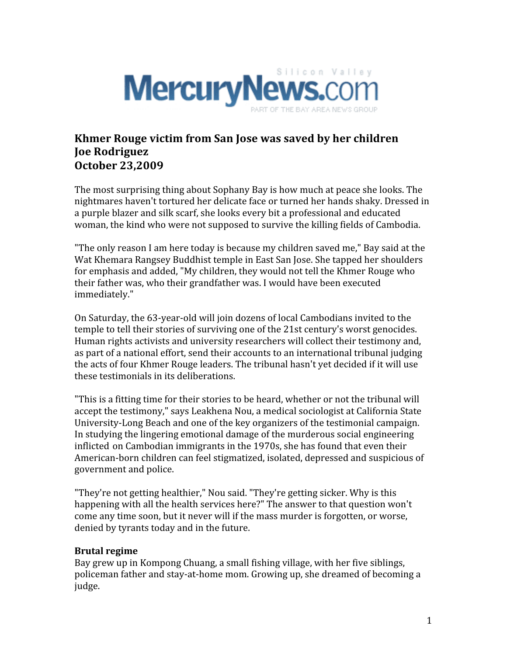

## **Khmer Rouge victim from San Jose was saved by her children Joe Rodriguez October 23,2009**

The most surprising thing about Sophany Bay is how much at peace she looks. The nightmares
haven't
tortured
her
delicate
face
or
turned
her
hands
shaky.
Dressed
in a purple blazer and silk scarf, she looks every bit a professional and educated woman, the kind who were not supposed to survive the killing fields of Cambodia.

"The only reason I am here today is because my children saved me," Bay said at the Wat Khemara Rangsey Buddhist temple in East San Jose. She tapped her shoulders for
emphasis
and
added,
"My
children,
they
would
not
tell
the
Khmer
Rouge
who their
father
was,
who
their
grandfather
was.
I
would
have
been
executed immediately."

On
Saturday,
the
63‐year‐old
will
join
dozens
of
local
Cambodians
invited
to
the temple to tell their stories of surviving one of the 21st century's worst genocides. Human rights activists and university researchers will collect their testimony and, as part of a national effort, send their accounts to an international tribunal judging the
acts
of
four
Khmer
Rouge
leaders.
The
tribunal
hasn't
yet
decided
if
it
will
use these testimonials in its deliberations.

"This is a fitting time for their stories to be heard, whether or not the tribunal will accept
the
testimony,"
says
Leakhena
Nou,
a
medical
sociologist
at
California
State University-Long Beach and one of the key organizers of the testimonial campaign. In studying the lingering emotional damage of the murderous social engineering inflicted
on
Cambodian
immigrants
in
the
1970s,
she
has
found
that
even
their American-born children can feel stigmatized, isolated, depressed and suspicious of government
and
police.

"They're not getting healthier," Nou said. "They're getting sicker. Why is this happening with all the health services here?" The answer to that question won't come
any
time
soon,
but
it
never
will
if
the
mass
murder
is
forgotten,
or
worse, denied
by
tyrants
today
and
in
the
future.

## **Brutal
regime**

Bay
grew
up
in
Kompong
Chuang,
a
small
fishing
village,
with
her
five
siblings, policeman
father
and
stay‐at‐home
mom.
Growing
up,
she
dreamed
of
becoming
a judge.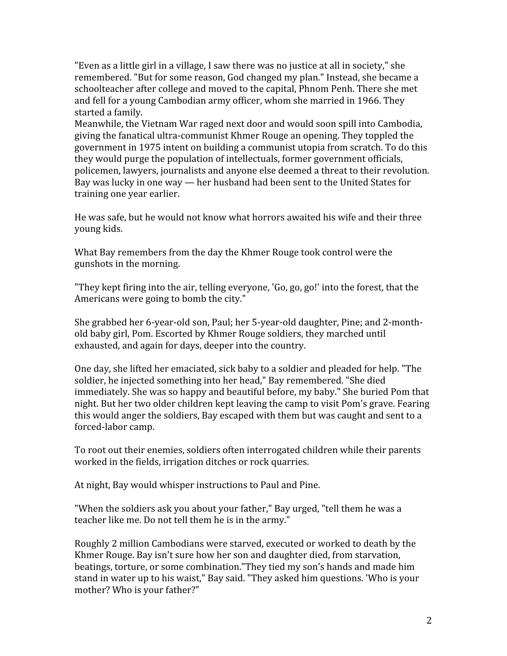"Even as a little girl in a village, I saw there was no justice at all in society," she remembered. "But for some reason, God changed my plan." Instead, she became a schoolteacher
after
college
and
moved
to
the
capital,
Phnom
Penh.
There
she
met and
fell
for
a
young
Cambodian
army
officer,
whom
she
married
in
1966.
They started
a
family.

Meanwhile,
the
Vietnam
War
raged
next
door
and
would
soon
spill
into
Cambodia, giving
the
fanatical
ultra‐communist
Khmer
Rouge
an
opening.
They
toppled
the government in 1975 intent on building a communist utopia from scratch. To do this they
would
purge
the
population
of
intellectuals,
former
government
officials, policemen,
lawyers,
journalists
and
anyone
else
deemed
a
threat
to
their
revolution. Bay
was
lucky
in
one
way
—
her
husband
had
been
sent
to
the
United
States
for training
one
year
earlier.

He was safe, but he would not know what horrors awaited his wife and their three young
kids.

What Bay remembers from the day the Khmer Rouge took control were the gunshots
in
the
morning.

"They kept firing into the air, telling everyone, 'Go, go, go!' into the forest, that the Americans
were
going
to
bomb
the
city."

She
grabbed
her
6‐year‐old
son,
Paul;
her
5‐year‐old
daughter,
Pine;
and
2‐month‐ old
baby
girl,
Pom.
Escorted
by
Khmer
Rouge
soldiers,
they
marched
until exhausted,
and
again
for
days,
deeper
into
the
country.

One
day,
she
lifted
her
emaciated,
sick
baby
to
a
soldier
and
pleaded
for
help. "The soldier,
he
injected
something
into
her
head,"
Bay
remembered.
"She
died immediately. She was so happy and beautiful before, my baby." She buried Pom that night.
But
her
two
older
children
kept
leaving
the
camp
to
visit
Pom's
grave.
Fearing this would anger the soldiers. Bay escaped with them but was caught and sent to a forced‐labor
camp.

To
root
out
their
enemies,
soldiers
often
interrogated
children
while
their
parents worked in the fields, irrigation ditches or rock quarries.

At
night,
Bay
would
whisper
instructions
to
Paul
and
Pine.

"When the soldiers ask you about your father," Bay urged, "tell them he was a teacher like me. Do not tell them he is in the army."

Roughly
2
million
Cambodians
were
starved,
executed
or
worked
to
death
by
the Khmer
Rouge.
Bay
isn't
sure
how
her
son
and
daughter
died,
from
starvation, beatings, torture, or some combination. "They tied my son's hands and made him stand in water up to his waist," Bay said. "They asked him questions. 'Who is your mother?
Who
is
your
father?"